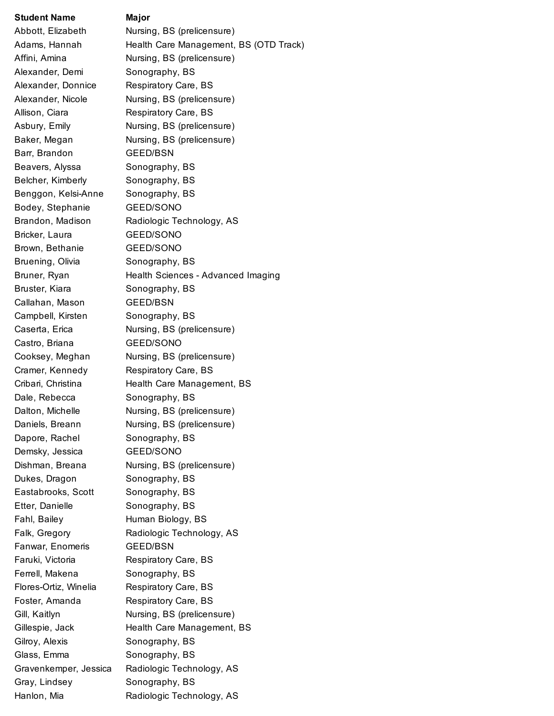## **Student Name Major**

Alexander, Demi Sonography, BS Barr, Brandon GEED/BSN Beavers, Alyssa Sonography, BS Belcher, Kimberly Sonography, BS Benggon, Kelsi-Anne Sonography, BS Bodey, Stephanie GEED/SONO Bricker, Laura GEED/SONO Brown, Bethanie GEED/SONO Bruening, Olivia Sonography, BS Bruster, Kiara **Sonography**, BS Callahan, Mason GEED/BSN Campbell, Kirsten Sonography, BS Castro, Briana GEED/SONO Dale, Rebecca Sonography, BS Dapore, Rachel Sonography, BS Demsky, Jessica **GEED/SONO** Dukes, Dragon Sonography, BS Eastabrooks, Scott Sonography, BS Etter, Danielle Sonography, BS Fanwar, Enomeris GEED/BSN Ferrell, Makena Sonography, BS Gilroy, Alexis **Sonography**, BS Glass, Emma Sonography, BS Gray, Lindsey Sonography, BS

Abbott, Elizabeth Nursing, BS (prelicensure) Adams, Hannah Health Care Management, BS (OTD Track) Affini, Amina Nursing, BS (prelicensure) Alexander, Donnice Respiratory Care, BS Alexander, Nicole Nursing, BS (prelicensure) Allison, Ciara Respiratory Care, BS Asbury, Emily **Nursing, BS (prelicensure)** Baker, Megan Nursing, BS (prelicensure) Brandon, Madison Radiologic Technology, AS Bruner, Ryan Health Sciences - Advanced Imaging Caserta, Erica Nursing, BS (prelicensure) Cooksey, Meghan Nursing, BS (prelicensure) Cramer, Kennedy Respiratory Care, BS Cribari, Christina Health Care Management, BS Dalton, Michelle **Nursing, BS (prelicensure)** Daniels, Breann Nursing, BS (prelicensure) Dishman, Breana Nursing, BS (prelicensure) Fahl, Bailey Human Biology, BS Falk, Gregory Radiologic Technology, AS Faruki, Victoria Respiratory Care, BS Flores-Ortiz, Winelia Respiratory Care, BS Foster, Amanda Respiratory Care, BS Gill, Kaitlyn **Nursing, BS (prelicensure)** Gillespie, Jack Health Care Management, BS Gravenkemper, Jessica Radiologic Technology, AS Hanlon, Mia **Radiologic Technology, AS**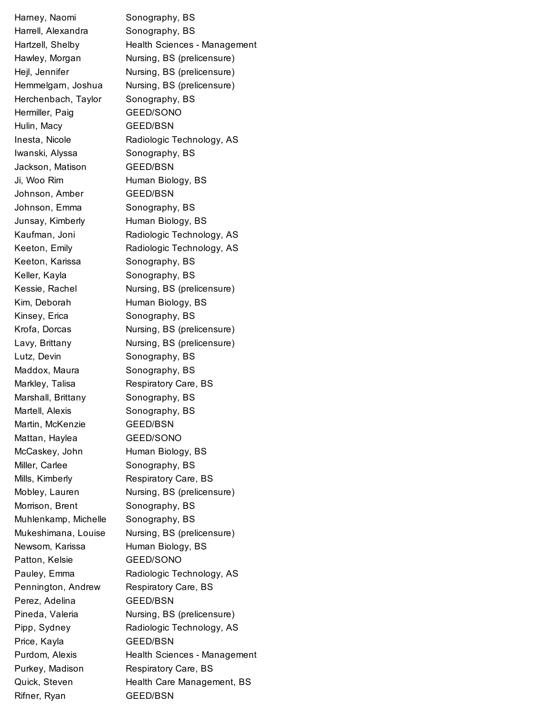Harney, Naomi Sonography, BS Harrell, Alexandra Sonography, BS Hartzell, Shelby **Health Sciences - Management** Hawley, Morgan Nursing, BS (prelicensure) Hejl, Jennifer Nursing, BS (prelicensure) Hemmelgarn, Joshua Nursing, BS (prelicensure) Herchenbach, Taylor Sonography, BS Hermiller, Paig GEED/SONO Hulin, Macy GEED/BSN Inesta, Nicole Radiologic Technology, AS Iwanski, Alyssa Sonography, BS Jackson, Matison **GEED/BSN** Ji, Woo Rim **Human Biology**, BS Johnson, Amber GEED/BSN Johnson, Emma Sonography, BS Junsay, Kimberly **Human Biology, BS** Kaufman, Joni Radiologic Technology, AS Keeton, Emily **Radiologic Technology, AS** Keeton, Karissa Sonography, BS Keller, Kayla Sonography, BS Kessie, Rachel Nursing, BS (prelicensure) Kim, Deborah Human Biology, BS Kinsey, Erica Sonography, BS Krofa, Dorcas Nursing, BS (prelicensure) Lavy, Brittany Nursing, BS (prelicensure) Lutz, Devin Sonography, BS Maddox, Maura Sonography, BS Markley, Talisa Respiratory Care, BS Marshall, Brittany Sonography, BS Martell, Alexis Sonography, BS Martin, McKenzie GEED/BSN Mattan, Haylea **GEED/SONO** McCaskey, John Human Biology, BS Miller, Carlee Sonography, BS Mills, Kimberly **Respiratory Care, BS** Mobley, Lauren Nursing, BS (prelicensure) Morrison, Brent Sonography, BS Muhlenkamp, Michelle Sonography, BS Mukeshimana, Louise Nursing, BS (prelicensure) Newsom, Karissa **Human Biology, BS** Patton, Kelsie GEED/SONO Pauley, Emma Radiologic Technology, AS Pennington, Andrew Respiratory Care, BS Perez, Adelina GEED/BSN Pineda, Valeria Nursing, BS (prelicensure) Pipp, Sydney **Radiologic Technology, AS** Price, Kayla GEED/BSN Purdom, Alexis **Health Sciences - Management** Purkey, Madison Respiratory Care, BS Quick, Steven Health Care Management, BS Rifner, Ryan GEED/BSN